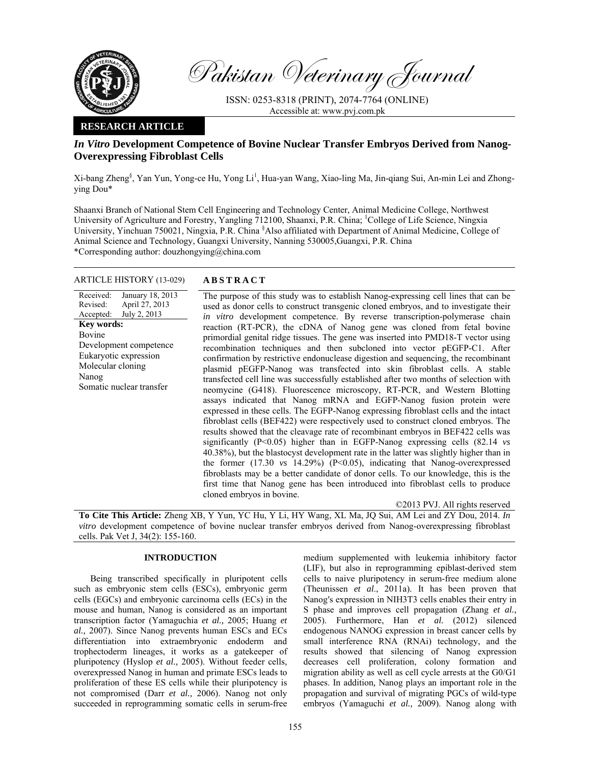

Pakistan Veterinary Journal

ISSN: 0253-8318 (PRINT), 2074-7764 (ONLINE) Accessible at: www.pvj.com.pk

## **RESEARCH ARTICLE**

# *In Vitro* **Development Competence of Bovine Nuclear Transfer Embryos Derived from Nanog-Overexpressing Fibroblast Cells**

Xi-bang Zheng<sup>§</sup>, Yan Yun, Yong-ce Hu, Yong Li<sup>1</sup>, Hua-yan Wang, Xiao-ling Ma, Jin-qiang Sui, An-min Lei and Zhongying Dou\*

Shaanxi Branch of National Stem Cell Engineering and Technology Center, Animal Medicine College, Northwest University of Agriculture and Forestry, Yangling 712100, Shaanxi, P.R. China; <sup>1</sup>College of Life Science, Ningxia University, Yinchuan 750021, Ningxia, P.R. China <sup>§</sup>Also affiliated with Department of Animal Medicine, College of Animal Science and Technology, Guangxi University, Nanning 530005,Guangxi, P.R. China \*Corresponding author: douzhongying@china.com

## ARTICLE HISTORY (13-029) **ABSTRACT**

Received: Revised: Accepted: January 18, 2013 April 27, 2013 July 2, 2013 **Key words:**  Bovine Development competence Eukaryotic expression Molecular cloning Nanog Somatic nuclear transfer

 The purpose of this study was to establish Nanog-expressing cell lines that can be used as donor cells to construct transgenic cloned embryos, and to investigate their *in vitro* development competence. By reverse transcription-polymerase chain reaction (RT-PCR), the cDNA of Nanog gene was cloned from fetal bovine primordial genital ridge tissues. The gene was inserted into PMD18-T vector using recombination techniques and then subcloned into vector pEGFP-C1. After confirmation by restrictive endonuclease digestion and sequencing, the recombinant plasmid pEGFP-Nanog was transfected into skin fibroblast cells. A stable transfected cell line was successfully established after two months of selection with neomycine (G418). Fluorescence microscopy, RT-PCR, and Western Blotting assays indicated that Nanog mRNA and EGFP-Nanog fusion protein were expressed in these cells. The EGFP-Nanog expressing fibroblast cells and the intact fibroblast cells (BEF422) were respectively used to construct cloned embryos. The results showed that the cleavage rate of recombinant embryos in BEF422 cells was significantly (P<0.05) higher than in EGFP-Nanog expressing cells (82.14 *vs* 40.38%), but the blastocyst development rate in the latter was slightly higher than in the former (17.30 *vs* 14.29%) (P<0.05), indicating that Nanog-overexpressed fibroblasts may be a better candidate of donor cells. To our knowledge, this is the first time that Nanog gene has been introduced into fibroblast cells to produce cloned embryos in bovine.

©2013 PVJ. All rights reserved

**To Cite This Article:** Zheng XB, Y Yun, YC Hu, Y Li, HY Wang, XL Ma, JQ Sui, AM Lei and ZY Dou, 2014. *In vitro* development competence of bovine nuclear transfer embryos derived from Nanog-overexpressing fibroblast cells. Pak Vet J, 34(2): 155-160.

## **INTRODUCTION**

Being transcribed specifically in pluripotent cells such as embryonic stem cells (ESCs), embryonic germ cells (EGCs) and embryonic carcinoma cells (ECs) in the mouse and human, Nanog is considered as an important transcription factor (Yamaguchia *et al.,* 2005; Huang *et al.,* 2007). Since Nanog prevents human ESCs and ECs differentiation into extraembryonic endoderm and trophectoderm lineages, it works as a gatekeeper of pluripotency (Hyslop *et al.,* 2005). Without feeder cells, overexpressed Nanog in human and primate ESCs leads to proliferation of these ES cells while their pluripotency is not compromised (Darr *et al.,* 2006). Nanog not only succeeded in reprogramming somatic cells in serum-free medium supplemented with leukemia inhibitory factor (LIF), but also in reprogramming epiblast-derived stem cells to naive pluripotency in serum-free medium alone (Theunissen *et al*., 2011a). It has been proven that Nanog′s expression in NIH3T3 cells enables their entry in S phase and improves cell propagation (Zhang *et al.,* 2005). Furthermore, Han *et al.* (2012) silenced endogenous NANOG expression in breast cancer cells by small interference RNA (RNAi) technology, and the results showed that silencing of Nanog expression decreases cell proliferation, colony formation and migration ability as well as cell cycle arrests at the G0/G1 phases. In addition*,* Nanog plays an important role in the propagation and survival of migrating PGCs of wild-type embryos (Yamaguchi *et al.,* 2009). Nanog along with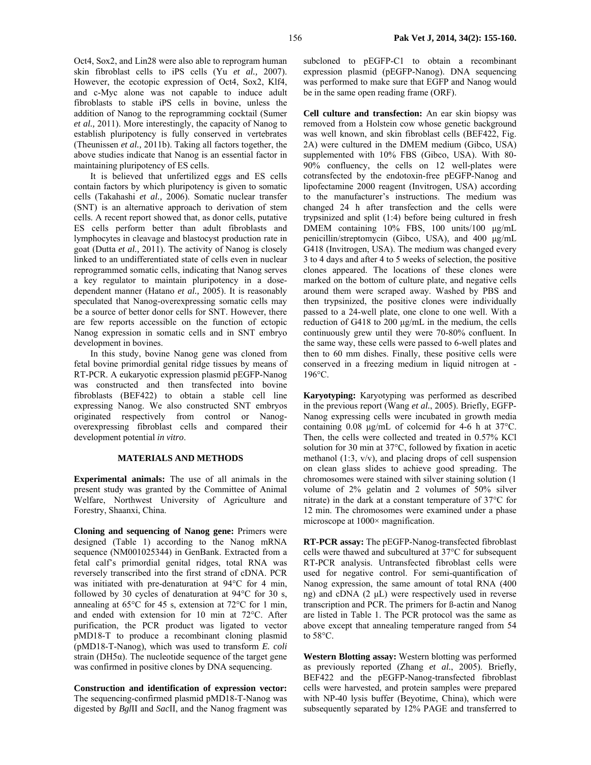Oct4, Sox2, and Lin28 were also able to reprogram human skin fibroblast cells to iPS cells (Yu *et al.,* 2007). However, the ecotopic expression of Oct4, Sox2, Klf4, and c-Myc alone was not capable to induce adult fibroblasts to stable iPS cells in bovine, unless the addition of Nanog to the reprogramming cocktail (Sumer *et al.,* 2011). More interestingly, the capacity of Nanog to establish pluripotency is fully conserved in vertebrates (Theunissen *et al.,* 2011b). Taking all factors together, the above studies indicate that Nanog is an essential factor in maintaining pluripotency of ES cells.

It is believed that unfertilized eggs and ES cells contain factors by which pluripotency is given to somatic cells (Takahashi *et al.,* 2006). Somatic nuclear transfer (SNT) is an alternative approach to derivation of stem cells. A recent report showed that, as donor cells, putative ES cells perform better than adult fibroblasts and lymphocytes in cleavage and blastocyst production rate in goat (Dutta *et al.,* 2011). The activity of Nanog is closely linked to an undifferentiated state of cells even in nuclear reprogrammed somatic cells, indicating that Nanog serves a key regulator to maintain pluripotency in a dosedependent manner (Hatano *et al.,* 2005). It is reasonably speculated that Nanog-overexpressing somatic cells may be a source of better donor cells for SNT. However, there are few reports accessible on the function of ectopic Nanog expression in somatic cells and in SNT embryo development in bovines.

In this study, bovine Nanog gene was cloned from fetal bovine primordial genital ridge tissues by means of RT-PCR. A eukaryotic expression plasmid pEGFP-Nanog was constructed and then transfected into bovine fibroblasts (BEF422) to obtain a stable cell line expressing Nanog. We also constructed SNT embryos originated respectively from control or Nanogoverexpressing fibroblast cells and compared their development potential *in vitro*.

## **MATERIALS AND METHODS**

**Experimental animals:** The use of all animals in the present study was granted by the Committee of Animal Welfare, Northwest University of Agriculture and Forestry, Shaanxi, China.

**Cloning and sequencing of Nanog gene:** Primers were designed (Table 1) according to the Nanog mRNA sequence (NM001025344) in GenBank. Extracted from a fetal calf's primordial genital ridges, total RNA was reversely transcribed into the first strand of cDNA. PCR was initiated with pre-denaturation at 94°C for 4 min, followed by 30 cycles of denaturation at 94°C for 30 s, annealing at 65°C for 45 s, extension at 72°C for 1 min, and ended with extension for 10 min at 72°C. After purification, the PCR product was ligated to vector pMD18-T to produce a recombinant cloning plasmid (pMD18-T-Nanog), which was used to transform *E. coli* strain ( $DH5\alpha$ ). The nucleotide sequence of the target gene was confirmed in positive clones by DNA sequencing.

**Construction and identification of expression vector:**  The sequencing-confirmed plasmid pMD18-T-Nanog was digested by *Bgl*II and *Sac*II, and the Nanog fragment was

subcloned to pEGFP-C1 to obtain a recombinant expression plasmid (pEGFP-Nanog). DNA sequencing was performed to make sure that EGFP and Nanog would be in the same open reading frame (ORF).

**Cell culture and transfection:** An ear skin biopsy was removed from a Holstein cow whose genetic background was well known, and skin fibroblast cells (BEF422, Fig. 2A) were cultured in the DMEM medium (Gibco, USA) supplemented with 10% FBS (Gibco, USA). With 80- 90% confluency, the cells on 12 well-plates were cotransfected by the endotoxin-free pEGFP-Nanog and lipofectamine 2000 reagent (Invitrogen, USA) according to the manufacturer's instructions. The medium was changed 24 h after transfection and the cells were trypsinized and split (1:4) before being cultured in fresh DMEM containing 10% FBS, 100 units/100 µg/mL penicillin/streptomycin (Gibco, USA), and 400 µg/mL G418 (Invitrogen, USA). The medium was changed every 3 to 4 days and after 4 to 5 weeks of selection, the positive clones appeared. The locations of these clones were marked on the bottom of culture plate, and negative cells around them were scraped away. Washed by PBS and then trypsinized, the positive clones were individually passed to a 24-well plate, one clone to one well. With a reduction of G418 to 200 µg/mL in the medium, the cells continuously grew until they were 70-80% confluent. In the same way, these cells were passed to 6-well plates and then to 60 mm dishes. Finally, these positive cells were conserved in a freezing medium in liquid nitrogen at - 196°C.

**Karyotyping:** Karyotyping was performed as described in the previous report (Wang *et al.*, 2005). Briefly, EGFP-Nanog expressing cells were incubated in growth media containing 0.08 µg/mL of colcemid for 4-6 h at 37°C. Then, the cells were collected and treated in 0.57% KCl solution for 30 min at 37°C, followed by fixation in acetic methanol (1:3, v/v), and placing drops of cell suspension on clean glass slides to achieve good spreading. The chromosomes were stained with silver staining solution (1 volume of 2% gelatin and 2 volumes of 50% silver nitrate) in the dark at a constant temperature of 37°C for 12 min. The chromosomes were examined under a phase microscope at  $1000 \times$  magnification.

**RT-PCR assay:** The pEGFP-Nanog-transfected fibroblast cells were thawed and subcultured at 37°C for subsequent RT-PCR analysis. Untransfected fibroblast cells were used for negative control. For semi-quantification of Nanog expression, the same amount of total RNA (400 ng) and cDNA (2 µL) were respectively used in reverse transcription and PCR. The primers for ß-actin and Nanog are listed in Table 1. The PCR protocol was the same as above except that annealing temperature ranged from 54 to 58°C.

**Western Blotting assay:** Western blotting was performed as previously reported (Zhang *et al.*, 2005). Briefly, BEF422 and the pEGFP-Nanog-transfected fibroblast cells were harvested, and protein samples were prepared with NP-40 lysis buffer (Beyotime, China), which were subsequently separated by 12% PAGE and transferred to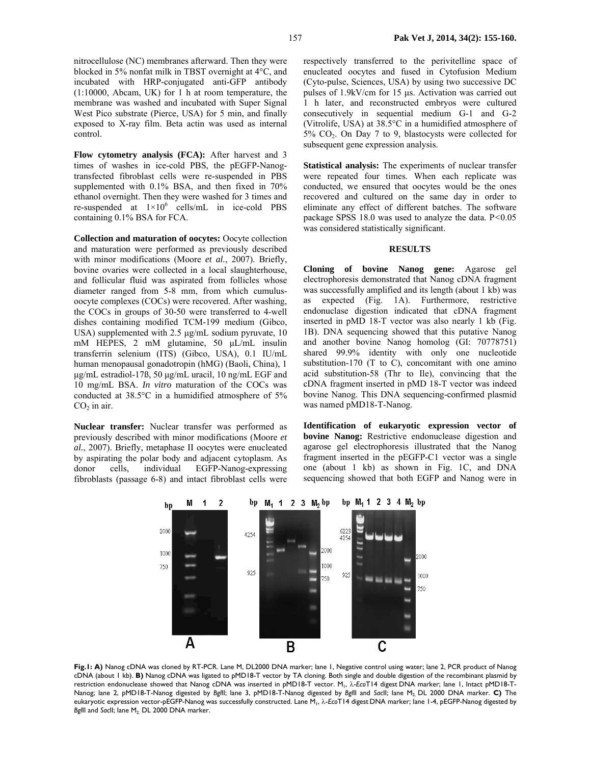incubated with HRP-conjugated anti-GFP antibody (1:10000, Abcam, UK) for 1 h at room temperature, the membrane was washed and incubated with Super Signal West Pico substrate (Pierce, USA) for 5 min, and finally exposed to X-ray film. Beta actin was used as internal control.

**Flow cytometry analysis (FCA):** After harvest and 3 times of washes in ice-cold PBS, the pEGFP-Nanogtransfected fibroblast cells were re-suspended in PBS supplemented with 0.1% BSA, and then fixed in 70% ethanol overnight. Then they were washed for 3 times and re-suspended at  $1 \times 10^6$  cells/mL in ice-cold PBS containing 0.1% BSA for FCA.

**Collection and maturation of oocytes:** Oocyte collection and maturation were performed as previously described with minor modifications (Moore *et al.*, 2007). Briefly, bovine ovaries were collected in a local slaughterhouse, and follicular fluid was aspirated from follicles whose diameter ranged from 5-8 mm, from which cumulusoocyte complexes (COCs) were recovered. After washing, the COCs in groups of 30-50 were transferred to 4-well dishes containing modified TCM-199 medium (Gibco, USA) supplemented with 2.5 µg/mL sodium pyruvate, 10 mM HEPES, 2 mM glutamine, 50 µL/mL insulin transferrin selenium (ITS) (Gibco, USA), 0.1 IU/mL human menopausal gonadotropin (hMG) (Baoli, China), 1 µg/mL estradiol-17ß, 50 µg/mL uracil, 10 ng/mL EGF and 10 mg/mL BSA. *In vitro* maturation of the COCs was conducted at 38.5°C in a humidified atmosphere of 5%  $CO<sub>2</sub>$  in air.

**Nuclear transfer:** Nuclear transfer was performed as previously described with minor modifications (Moore *et al.*, 2007). Briefly, metaphase II oocytes were enucleated by aspirating the polar body and adjacent cytoplasm. As donor cells, individual EGFP-Nanog-expressing fibroblasts (passage 6-8) and intact fibroblast cells were respectively transferred to the perivitelline space of enucleated oocytes and fused in Cytofusion Medium (Cyto-pulse, Sciences, USA) by using two successive DC pulses of 1.9kV/cm for 15 µs. Activation was carried out 1 h later, and reconstructed embryos were cultured consecutively in sequential medium G-1 and G-2 (Vitrolife, USA) at 38.5°C in a humidified atmosphere of 5% CO2. On Day 7 to 9, blastocysts were collected for subsequent gene expression analysis.

**Statistical analysis:** The experiments of nuclear transfer were repeated four times. When each replicate was conducted, we ensured that oocytes would be the ones recovered and cultured on the same day in order to eliminate any effect of different batches. The software package SPSS 18.0 was used to analyze the data. P*<*0.05 was considered statistically significant.

## **RESULTS**

**Cloning of bovine Nanog gene:** Agarose gel electrophoresis demonstrated that Nanog cDNA fragment was successfully amplified and its length (about 1 kb) was as expected (Fig. 1A). Furthermore, restrictive endonuclase digestion indicated that cDNA fragment inserted in pMD 18-T vector was also nearly 1 kb (Fig. 1B). DNA sequencing showed that this putative Nanog and another bovine Nanog homolog (GI: 70778751) shared 99.9% identity with only one nucleotide substitution-170 (T to C), concomitant with one amino acid substitution-58 (Thr to Ile), convincing that the cDNA fragment inserted in pMD 18-T vector was indeed bovine Nanog. This DNA sequencing-confirmed plasmid was named pMD18-T-Nanog.

**Identification of eukaryotic expression vector of bovine Nanog:** Restrictive endonuclease digestion and agarose gel electrophoresis illustrated that the Nanog fragment inserted in the pEGFP-C1 vector was a single one (about 1 kb) as shown in Fig. 1C, and DNA sequencing showed that both EGFP and Nanog were in



**Fig.1: A)** Nanog cDNA was cloned by RT-PCR. Lane M, DL2000 DNA marker; lane 1, Negative control using water; lane 2, PCR product of Nanog cDNA (about 1 kb). **B)** Nanog cDNA was ligated to pMD18-T vector by TA cloning. Both single and double digestion of the recombinant plasmid by restriction endonuclease showed that Nanog cDNA was inserted in pMD18-T vector. M1, λ-*Eco*T14 digest DNA marker; lane 1, Intact pMD18-T-Nanog; lane 2, pMD18-T-Nanog digested by Bglll; lane 3, pMD18-T-Nanog digested by BgllI and Sacll; lane M<sub>2</sub> DL 2000 DNA marker. **C**) The eukaryotic expression vector-pEGFP-Nanog was successfully constructed. Lane M1, λ-*Eco*T14 digest DNA marker; lane 1-4, pEGFP-Nanog digested by *BgllI* and *SacII*; lane M<sub>2</sub> DL 2000 DNA marker.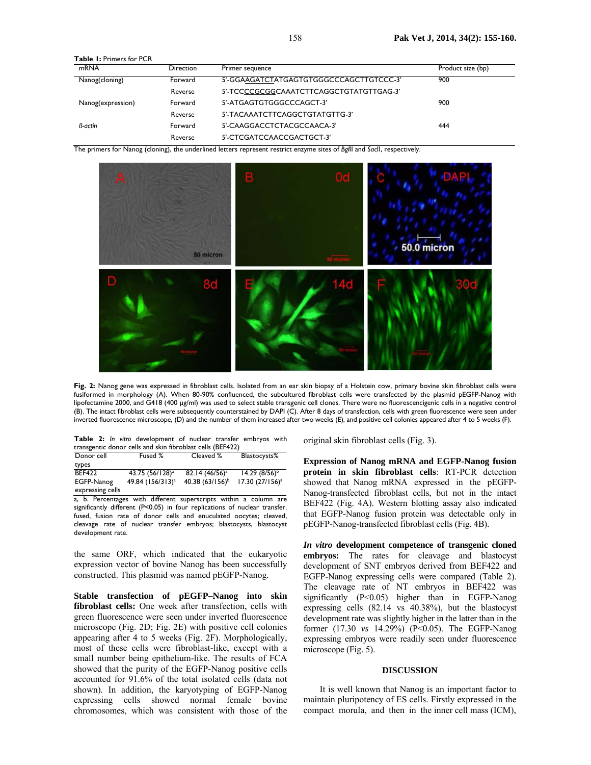**Table 1:** Primers for PCR

| mRNA              | <b>Direction</b> | Primer sequence                         | Product size (bp) |
|-------------------|------------------|-----------------------------------------|-------------------|
| Nanog(cloning)    | Forward          | 5'-GGAAGATCTATGAGTGTGGGCCCAGCTTGTCCC-3' | 900               |
|                   | Reverse          | 5'-TCCCCGCGCCAAATCTTCAGGCTGTATGTTGAG-3' |                   |
| Nanog(expression) | Forward          | 5'-ATGAGTGTGGGCCCAGCT-3'                | 900               |
|                   | Reverse          | 5'-TACAAATCTTCAGGCTGTATGTTG-3'          |                   |
| <b>B-actin</b>    | Forward          | 5'-CAAGGACCTCTACGCCAACA-3'              | 444               |
|                   | Reverse          | 5'-CTCGATCCAACCGACTGCT-3'               |                   |

The primers for Nanog (cloning), the underlined letters represent restrict enzyme sites of *Bgl*II and *Sac*II, respectively.



**Fig. 2:** Nanog gene was expressed in fibroblast cells. Isolated from an ear skin biopsy of a Holstein cow, primary bovine skin fibroblast cells were fusiformed in morphology (A). When 80-90% confluenced, the subcultured fibroblast cells were transfected by the plasmid pEGFP-Nanog with lipofectamine 2000, and G418 (400 µg/ml) was used to select stable transgenic cell clones. There were no fluorescencigenic cells in a negative control (B). The intact fibroblast cells were subsequently counterstained by DAPI (C). After 8 days of transfection, cells with green fluorescence were seen under inverted fluorescence microscope, (D) and the number of them increased after two weeks (E), and positive cell colonies appeared after 4 to 5 weeks (F).

|  |  | Table 2: In vitro development of nuclear transfer embryos with |  |  |  |
|--|--|----------------------------------------------------------------|--|--|--|
|  |  | transgentic donor cells and skin fibroblast cells (BEF422)     |  |  |  |

| Donor cell       | Fused %                      | Cleaved %           | Blastocysts%       |
|------------------|------------------------------|---------------------|--------------------|
| types            |                              |                     |                    |
| <b>BEF422</b>    | 43.75 (56/128) <sup>a</sup>  | $82.14 (46/56)^{a}$ | $14.29(8/56)^{b}$  |
| EGFP-Nanog       | 49.84 (156/313) <sup>a</sup> | 40.38 $(63/156)^b$  | $17.30 (27/156)^a$ |
| expressing cells |                              |                     |                    |

a, b. Percentages with different superscripts within a column are significantly different (P<0.05) in four replications of nuclear transfer. fused, fusion rate of donor cells and enuculated oocytes; cleaved, cleavage rate of nuclear transfer embryos; blastocysts, blastocyst development rate.

the same ORF, which indicated that the eukaryotic expression vector of bovine Nanog has been successfully constructed. This plasmid was named pEGFP-Nanog*.*

**Stable transfection of pEGFP–Nanog into skin fibroblast cells:** One week after transfection, cells with green fluorescence were seen under inverted fluorescence microscope (Fig. 2D; Fig. 2E) with positive cell colonies appearing after 4 to 5 weeks (Fig. 2F). Morphologically, most of these cells were fibroblast-like, except with a small number being epithelium-like. The results of FCA showed that the purity of the EGFP-Nanog positive cells accounted for 91.6% of the total isolated cells (data not shown). In addition, the karyotyping of EGFP-Nanog expressing cells showed normal female bovine chromosomes, which was consistent with those of the original skin fibroblast cells (Fig. 3).

**Expression of Nanog mRNA and EGFP-Nanog fusion protein in skin fibroblast cells**: RT-PCR detection showed that Nanog mRNA expressed in the pEGFP-Nanog-transfected fibroblast cells, but not in the intact BEF422 (Fig. 4A). Western blotting assay also indicated that EGFP-Nanog fusion protein was detectable only in pEGFP-Nanog-transfected fibroblast cells (Fig. 4B).

*In vitro* **development competence of transgenic cloned embryos:** The rates for cleavage and blastocyst development of SNT embryos derived from BEF422 and EGFP-Nanog expressing cells were compared (Table 2). The cleavage rate of NT embryos in BEF422 was significantly (P<0.05) higher than in EGFP-Nanog expressing cells (82.14 vs 40.38%), but the blastocyst development rate was slightly higher in the latter than in the former (17.30 *vs* 14.29%) (P<0.05). The EGFP-Nanog expressing embryos were readily seen under fluorescence microscope (Fig. 5).

### **DISCUSSION**

It is well known that Nanog is an important factor to maintain pluripotency of ES cells. Firstly expressed in the compact morula, and then in the inner cell mass (ICM),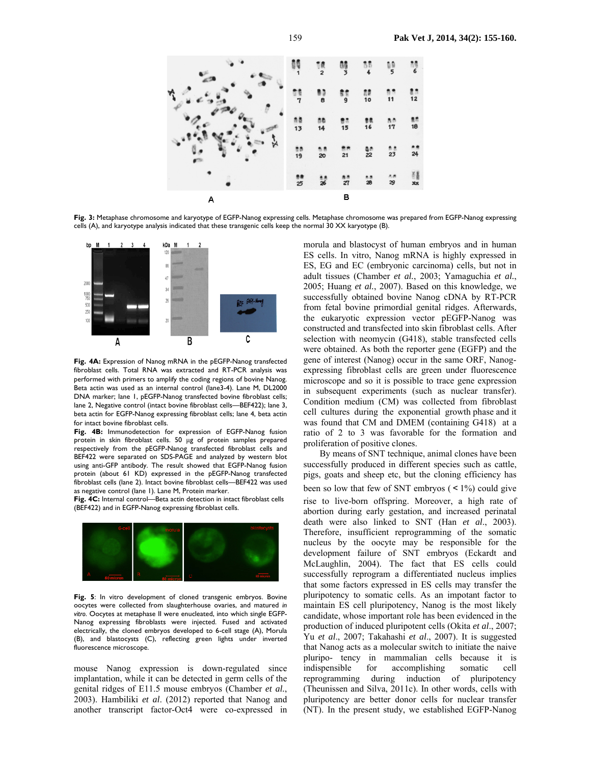

**Fig. 3:** Metaphase chromosome and karyotype of EGFP-Nanog expressing cells. Metaphase chromosome was prepared from EGFP-Nanog expressing cells (A), and karyotype analysis indicated that these transgenic cells keep the normal 30 XX karyotype (B).



**Fig. 4A:** Expression of Nanog mRNA in the pEGFP-Nanog transfected fibroblast cells. Total RNA was extracted and RT-PCR analysis was performed with primers to amplify the coding regions of bovine Nanog. Beta actin was used as an internal control (lane3-4). Lane M, DL2000 DNA marker; lane 1, pEGFP-Nanog transfected bovine fibroblast cells; lane 2, Negative control (intact bovine fibroblast cells—BEF422); lane 3, beta actin for EGFP-Nanog expressing fibroblast cells; lane 4, beta actin for intact bovine fibroblast cells.

**Fig. 4B:** Immunodetection for expression of EGFP-Nanog fusion protein in skin fibroblast cells. 50 µg of protein samples prepared respectively from the pEGFP-Nanog transfected fibroblast cells and BEF422 were separated on SDS-PAGE and analyzed by western blot using anti-GFP antibody. The result showed that EGFP-Nanog fusion protein (about 61 KD) expressed in the pEGFP-Nanog transfected fibroblast cells (lane 2). Intact bovine fibroblast cells—BEF422 was used as negative control (lane 1). Lane M, Protein marker.

**Fig. 4C:** Internal control—Beta actin detection in intact fibroblast cells (BEF422) and in EGFP-Nanog expressing fibroblast cells.



**Fig. 5**: In vitro development of cloned transgenic embryos. Bovine oocytes were collected from slaughterhouse ovaries, and matured *in vitro*. Oocytes at metaphase II were enucleated, into which single EGFP-Nanog expressing fibroblasts were injected. Fused and activated electrically, the cloned embryos developed to 6-cell stage (A), Morula (B), and blastocysts (C), reflecting green lights under inverted fluorescence microscope.

mouse Nanog expression is down-regulated since implantation, while it can be detected in germ cells of the genital ridges of E11.5 mouse embryos (Chamber *et al.*, 2003). Hambiliki *et al*. (2012) reported that Nanog and another transcript factor-Oct4 were co-expressed in

morula and blastocyst of human embryos and in human ES cells. In vitro, Nanog mRNA is highly expressed in ES, EG and EC (embryonic carcinoma) cells, but not in adult tissues (Chamber *et al.*, 2003; Yamaguchia *et al.*, 2005; Huang *et al.*, 2007). Based on this knowledge, we successfully obtained bovine Nanog cDNA by RT-PCR from fetal bovine primordial genital ridges. Afterwards, the eukaryotic expression vector pEGFP-Nanog was constructed and transfected into skin fibroblast cells. After selection with neomycin (G418), stable transfected cells were obtained. As both the reporter gene (EGFP) and the gene of interest (Nanog) occur in the same ORF, Nanogexpressing fibroblast cells are green under fluorescence microscope and so it is possible to trace gene expression in subsequent experiments (such as nuclear transfer). Condition medium (CM) was collected from fibroblast cell cultures during the exponential growth phase and it was found that CM and DMEM (containing G418) at a ratio of 2 to 3 was favorable for the formation and proliferation of positive clones.

By means of SNT technique, animal clones have been successfully produced in different species such as cattle, pigs, goats and sheep etc, but the cloning efficiency has been so low that few of SNT embryos  $($  < 1%) could give rise to live-born offspring. Moreover, a high rate of abortion during early gestation, and increased perinatal death were also linked to SNT (Han *et al*., 2003). Therefore, insufficient reprogramming of the somatic nucleus by the oocyte may be responsible for the development failure of SNT embryos (Eckardt and McLaughlin, 2004). The fact that ES cells could successfully reprogram a differentiated nucleus implies that some factors expressed in ES cells may transfer the pluripotency to somatic cells. As an impotant factor to maintain ES cell pluripotency, Nanog is the most likely candidate, whose important role has been evidenced in the production of induced pluripotent cells (Okita *et al*., 2007; Yu *et al*., 2007; Takahashi *et al*., 2007). It is suggested that Nanog acts as a molecular switch to initiate the naive pluripo- tency in mammalian cells because it is indispensible for accomplishing somatic cell reprogramming during induction of pluripotency (Theunissen and Silva, 2011c). In other words, cells with pluripotency are better donor cells for nuclear transfer (NT). In the present study, we established EGFP-Nanog